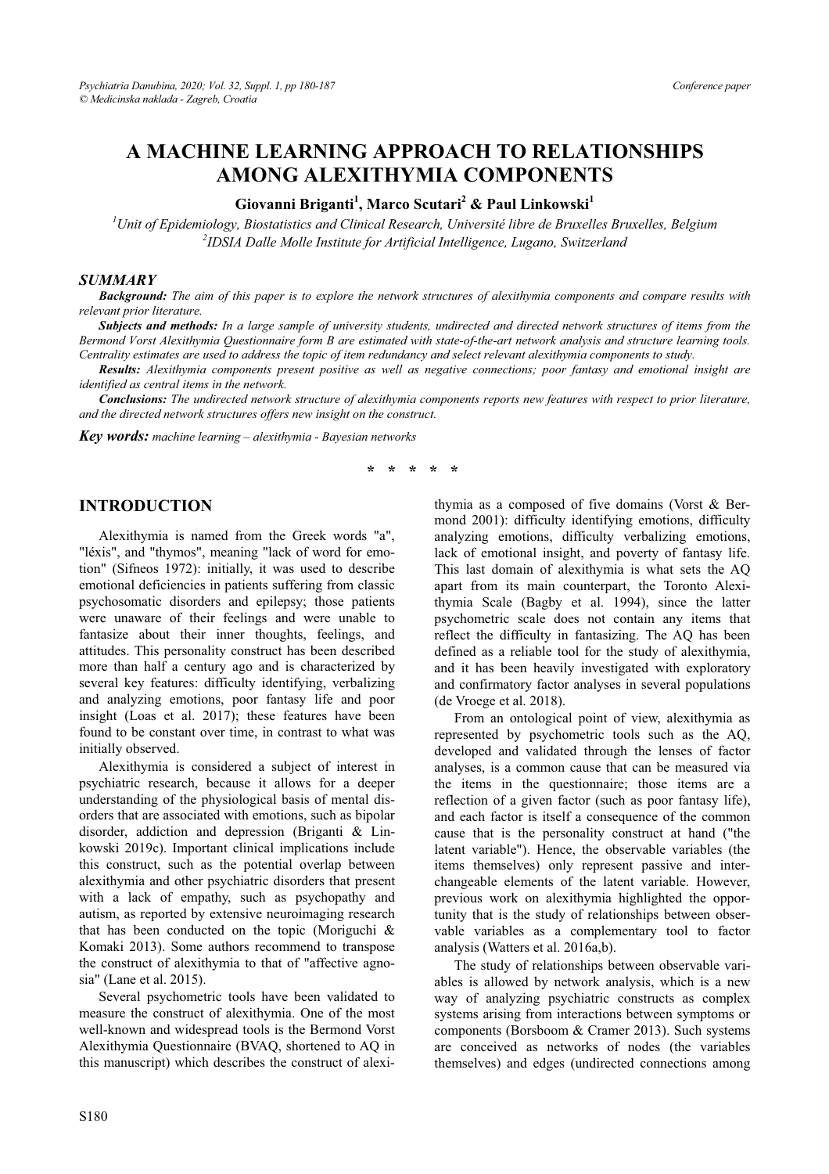# **A MACHINE LEARNING APPROACH TO RELATIONSHIPS AMONG ALEXITHYMIA COMPONENTS**

# **Giovanni Briganti<sup>1</sup> , Marco Scutari2 & Paul Linkowski<sup>1</sup>**

*1 Unit of Epidemiology, Biostatistics and Clinical Research, Université libre de Bruxelles Bruxelles, Belgium 2 IDSIA Dalle Molle Institute for Artificial Intelligence, Lugano, Switzerland* 

#### *SUMMARY*

*Background: The aim of this paper is to explore the network structures of alexithymia components and compare results with relevant prior literature.* 

*Subjects and methods: In a large sample of university students, undirected and directed network structures of items from the Bermond Vorst Alexithymia Questionnaire form B are estimated with state-of-the-art network analysis and structure learning tools. Centrality estimates are used to address the topic of item redundancy and select relevant alexithymia components to study.* 

*Results: Alexithymia components present positive as well as negative connections; poor fantasy and emotional insight are identified as central items in the network.* 

*Conclusions: The undirected network structure of alexithymia components reports new features with respect to prior literature, and the directed network structures offers new insight on the construct.* 

*Key words: machine learning – alexithymia - Bayesian networks* 

#### **\* \* \* \* \***

#### **INTRODUCTION**

Alexithymia is named from the Greek words "a", "léxis", and "thymos", meaning "lack of word for emotion" (Sifneos 1972): initially, it was used to describe emotional deficiencies in patients suffering from classic psychosomatic disorders and epilepsy; those patients were unaware of their feelings and were unable to fantasize about their inner thoughts, feelings, and attitudes. This personality construct has been described more than half a century ago and is characterized by several key features: difficulty identifying, verbalizing and analyzing emotions, poor fantasy life and poor insight (Loas et al. 2017); these features have been found to be constant over time, in contrast to what was initially observed.

Alexithymia is considered a subject of interest in psychiatric research, because it allows for a deeper understanding of the physiological basis of mental disorders that are associated with emotions, such as bipolar disorder, addiction and depression (Briganti & Linkowski 2019c). Important clinical implications include this construct, such as the potential overlap between alexithymia and other psychiatric disorders that present with a lack of empathy, such as psychopathy and autism, as reported by extensive neuroimaging research that has been conducted on the topic (Moriguchi & Komaki 2013). Some authors recommend to transpose the construct of alexithymia to that of "affective agnosia" (Lane et al. 2015).

Several psychometric tools have been validated to measure the construct of alexithymia. One of the most well-known and widespread tools is the Bermond Vorst Alexithymia Questionnaire (BVAQ, shortened to AQ in this manuscript) which describes the construct of alexithymia as a composed of five domains (Vorst & Bermond 2001): difficulty identifying emotions, difficulty analyzing emotions, difficulty verbalizing emotions, lack of emotional insight, and poverty of fantasy life. This last domain of alexithymia is what sets the AQ apart from its main counterpart, the Toronto Alexithymia Scale (Bagby et al. 1994), since the latter psychometric scale does not contain any items that reflect the difficulty in fantasizing. The AQ has been defined as a reliable tool for the study of alexithymia, and it has been heavily investigated with exploratory and confirmatory factor analyses in several populations (de Vroege et al. 2018).

From an ontological point of view, alexithymia as represented by psychometric tools such as the AQ, developed and validated through the lenses of factor analyses, is a common cause that can be measured via the items in the questionnaire; those items are a reflection of a given factor (such as poor fantasy life), and each factor is itself a consequence of the common cause that is the personality construct at hand ("the latent variable"). Hence, the observable variables (the items themselves) only represent passive and interchangeable elements of the latent variable. However, previous work on alexithymia highlighted the opportunity that is the study of relationships between observable variables as a complementary tool to factor analysis (Watters et al. 2016a,b).

The study of relationships between observable variables is allowed by network analysis, which is a new way of analyzing psychiatric constructs as complex systems arising from interactions between symptoms or components (Borsboom & Cramer 2013). Such systems are conceived as networks of nodes (the variables themselves) and edges (undirected connections among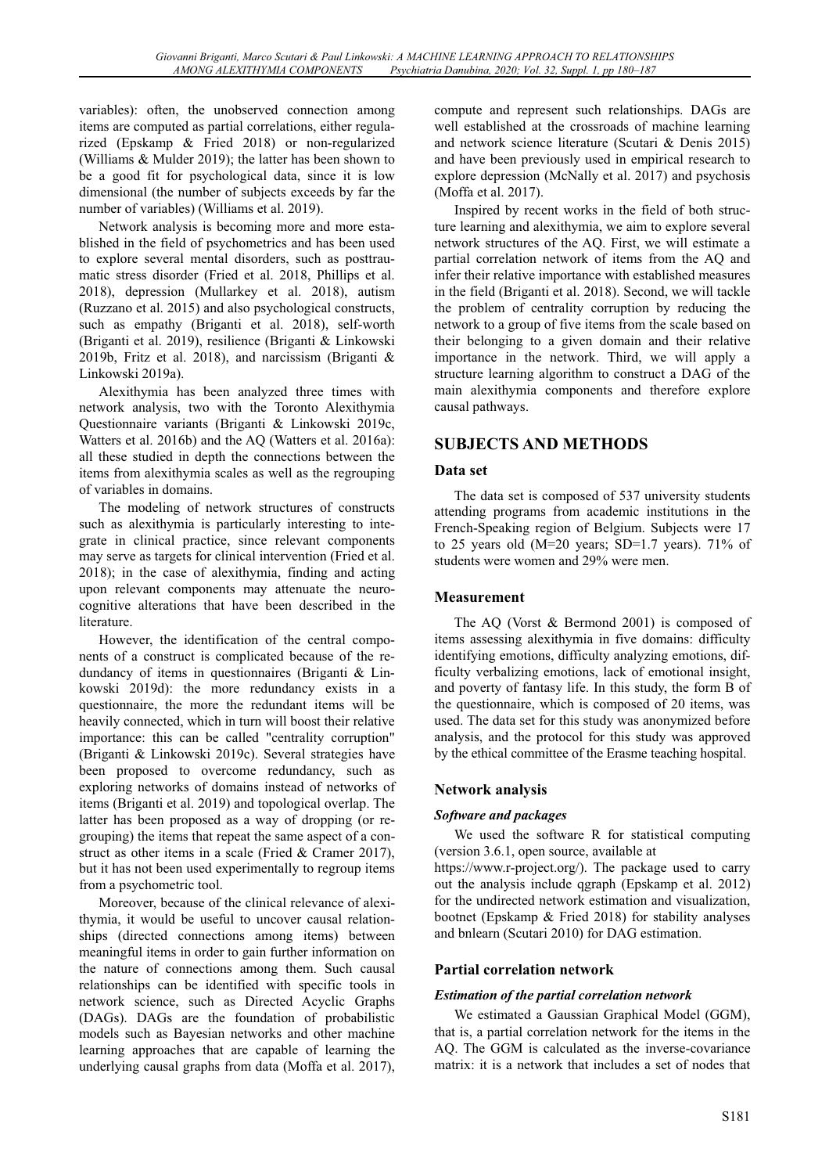variables): often, the unobserved connection among items are computed as partial correlations, either regularized (Epskamp & Fried 2018) or non-regularized (Williams & Mulder 2019); the latter has been shown to be a good fit for psychological data, since it is low dimensional (the number of subjects exceeds by far the number of variables) (Williams et al. 2019).

Network analysis is becoming more and more established in the field of psychometrics and has been used to explore several mental disorders, such as posttraumatic stress disorder (Fried et al. 2018, Phillips et al. 2018), depression (Mullarkey et al. 2018), autism (Ruzzano et al. 2015) and also psychological constructs, such as empathy (Briganti et al. 2018), self-worth (Briganti et al. 2019), resilience (Briganti & Linkowski 2019b, Fritz et al. 2018), and narcissism (Briganti & Linkowski 2019a).

Alexithymia has been analyzed three times with network analysis, two with the Toronto Alexithymia Questionnaire variants (Briganti & Linkowski 2019c, Watters et al. 2016b) and the AQ (Watters et al. 2016a): all these studied in depth the connections between the items from alexithymia scales as well as the regrouping of variables in domains.

The modeling of network structures of constructs such as alexithymia is particularly interesting to integrate in clinical practice, since relevant components may serve as targets for clinical intervention (Fried et al. 2018); in the case of alexithymia, finding and acting upon relevant components may attenuate the neurocognitive alterations that have been described in the literature.

However, the identification of the central components of a construct is complicated because of the redundancy of items in questionnaires (Briganti & Linkowski 2019d): the more redundancy exists in a questionnaire, the more the redundant items will be heavily connected, which in turn will boost their relative importance: this can be called "centrality corruption" (Briganti & Linkowski 2019c). Several strategies have been proposed to overcome redundancy, such as exploring networks of domains instead of networks of items (Briganti et al. 2019) and topological overlap. The latter has been proposed as a way of dropping (or regrouping) the items that repeat the same aspect of a construct as other items in a scale (Fried & Cramer 2017), but it has not been used experimentally to regroup items from a psychometric tool.

Moreover, because of the clinical relevance of alexithymia, it would be useful to uncover causal relationships (directed connections among items) between meaningful items in order to gain further information on the nature of connections among them. Such causal relationships can be identified with specific tools in network science, such as Directed Acyclic Graphs (DAGs). DAGs are the foundation of probabilistic models such as Bayesian networks and other machine learning approaches that are capable of learning the underlying causal graphs from data (Moffa et al. 2017),

compute and represent such relationships. DAGs are well established at the crossroads of machine learning and network science literature (Scutari & Denis 2015) and have been previously used in empirical research to explore depression (McNally et al. 2017) and psychosis (Moffa et al. 2017).

Inspired by recent works in the field of both structure learning and alexithymia, we aim to explore several network structures of the AQ. First, we will estimate a partial correlation network of items from the AQ and infer their relative importance with established measures in the field (Briganti et al. 2018). Second, we will tackle the problem of centrality corruption by reducing the network to a group of five items from the scale based on their belonging to a given domain and their relative importance in the network. Third, we will apply a structure learning algorithm to construct a DAG of the main alexithymia components and therefore explore causal pathways.

# **SUBJECTS AND METHODS**

### **Data set**

The data set is composed of 537 university students attending programs from academic institutions in the French-Speaking region of Belgium. Subjects were 17 to 25 years old  $(M=20 \text{ years}; SD=1.7 \text{ years})$ . 71% of students were women and 29% were men.

### **Measurement**

The AQ (Vorst & Bermond 2001) is composed of items assessing alexithymia in five domains: difficulty identifying emotions, difficulty analyzing emotions, difficulty verbalizing emotions, lack of emotional insight, and poverty of fantasy life. In this study, the form B of the questionnaire, which is composed of 20 items, was used. The data set for this study was anonymized before analysis, and the protocol for this study was approved by the ethical committee of the Erasme teaching hospital.

### **Network analysis**

#### *Software and packages*

We used the software R for statistical computing (version 3.6.1, open source, available at

https://www.r-project.org/). The package used to carry out the analysis include qgraph (Epskamp et al. 2012) for the undirected network estimation and visualization, bootnet (Epskamp & Fried 2018) for stability analyses and bnlearn (Scutari 2010) for DAG estimation.

### **Partial correlation network**

#### *Estimation of the partial correlation network*

We estimated a Gaussian Graphical Model (GGM), that is, a partial correlation network for the items in the AQ. The GGM is calculated as the inverse-covariance matrix: it is a network that includes a set of nodes that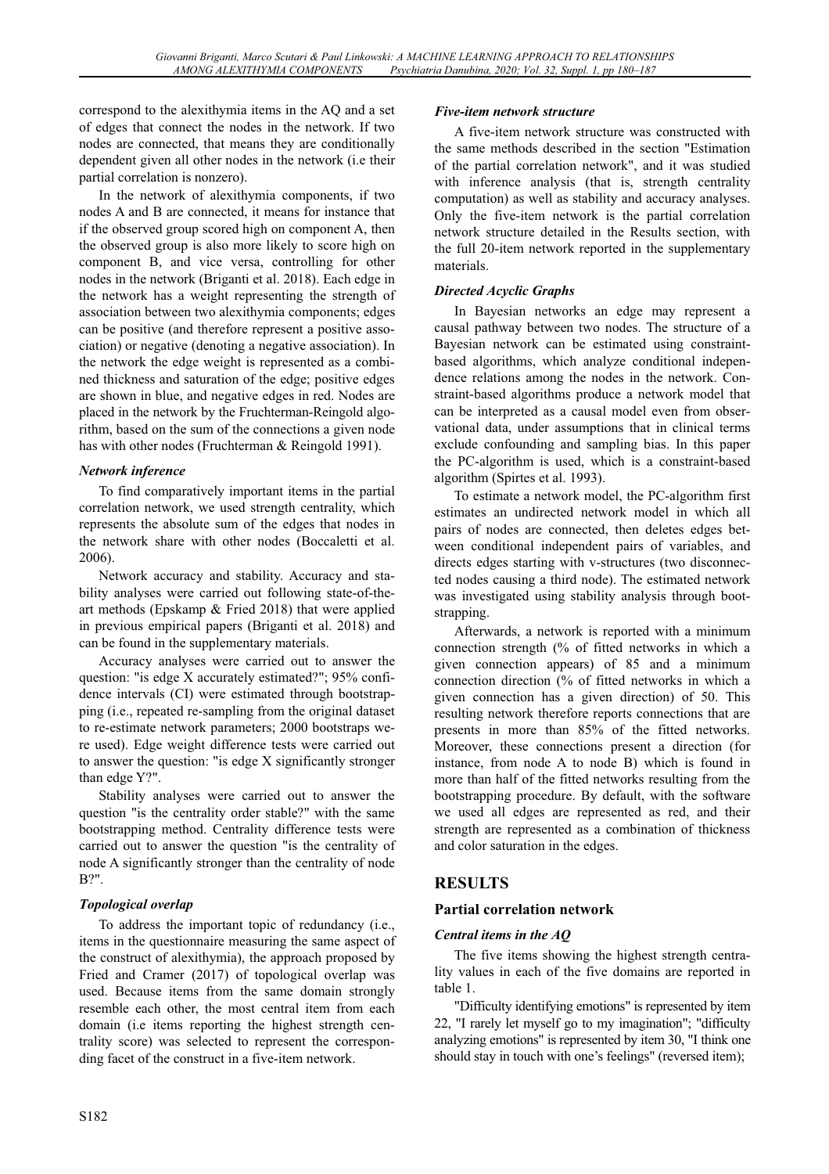correspond to the alexithymia items in the AQ and a set of edges that connect the nodes in the network. If two nodes are connected, that means they are conditionally dependent given all other nodes in the network (i.e their partial correlation is nonzero).

In the network of alexithymia components, if two nodes A and B are connected, it means for instance that if the observed group scored high on component A, then the observed group is also more likely to score high on component B, and vice versa, controlling for other nodes in the network (Briganti et al. 2018). Each edge in the network has a weight representing the strength of association between two alexithymia components; edges can be positive (and therefore represent a positive association) or negative (denoting a negative association). In the network the edge weight is represented as a combined thickness and saturation of the edge; positive edges are shown in blue, and negative edges in red. Nodes are placed in the network by the Fruchterman-Reingold algorithm, based on the sum of the connections a given node has with other nodes (Fruchterman & Reingold 1991).

### *Network inference*

To find comparatively important items in the partial correlation network, we used strength centrality, which represents the absolute sum of the edges that nodes in the network share with other nodes (Boccaletti et al. 2006).

Network accuracy and stability. Accuracy and stability analyses were carried out following state-of-theart methods (Epskamp & Fried 2018) that were applied in previous empirical papers (Briganti et al. 2018) and can be found in the supplementary materials.

Accuracy analyses were carried out to answer the question: "is edge X accurately estimated?"; 95% confidence intervals (CI) were estimated through bootstrapping (i.e., repeated re-sampling from the original dataset to re-estimate network parameters; 2000 bootstraps were used). Edge weight difference tests were carried out to answer the question: "is edge X significantly stronger than edge Y?".

Stability analyses were carried out to answer the question "is the centrality order stable?" with the same bootstrapping method. Centrality difference tests were carried out to answer the question "is the centrality of node A significantly stronger than the centrality of node B?".

# *Topological overlap*

To address the important topic of redundancy (i.e., items in the questionnaire measuring the same aspect of the construct of alexithymia), the approach proposed by Fried and Cramer (2017) of topological overlap was used. Because items from the same domain strongly resemble each other, the most central item from each domain (i.e items reporting the highest strength centrality score) was selected to represent the corresponding facet of the construct in a five-item network.

#### *Five-item network structure*

A five-item network structure was constructed with the same methods described in the section "Estimation of the partial correlation network", and it was studied with inference analysis (that is, strength centrality computation) as well as stability and accuracy analyses. Only the five-item network is the partial correlation network structure detailed in the Results section, with the full 20-item network reported in the supplementary materials.

### *Directed Acyclic Graphs*

In Bayesian networks an edge may represent a causal pathway between two nodes. The structure of a Bayesian network can be estimated using constraintbased algorithms, which analyze conditional independence relations among the nodes in the network. Constraint-based algorithms produce a network model that can be interpreted as a causal model even from observational data, under assumptions that in clinical terms exclude confounding and sampling bias. In this paper the PC-algorithm is used, which is a constraint-based algorithm (Spirtes et al. 1993).

To estimate a network model, the PC-algorithm first estimates an undirected network model in which all pairs of nodes are connected, then deletes edges between conditional independent pairs of variables, and directs edges starting with v-structures (two disconnected nodes causing a third node). The estimated network was investigated using stability analysis through bootstrapping.

Afterwards, a network is reported with a minimum connection strength (% of fitted networks in which a given connection appears) of 85 and a minimum connection direction (% of fitted networks in which a given connection has a given direction) of 50. This resulting network therefore reports connections that are presents in more than 85% of the fitted networks. Moreover, these connections present a direction (for instance, from node A to node B) which is found in more than half of the fitted networks resulting from the bootstrapping procedure. By default, with the software we used all edges are represented as red, and their strength are represented as a combination of thickness and color saturation in the edges.

# **RESULTS**

# **Partial correlation network**

### *Central items in the AQ*

The five items showing the highest strength centrality values in each of the five domains are reported in table 1.

"Difficulty identifying emotions" is represented by item 22, "I rarely let myself go to my imagination"; "difficulty analyzing emotions" is represented by item 30, "I think one should stay in touch with one's feelings" (reversed item);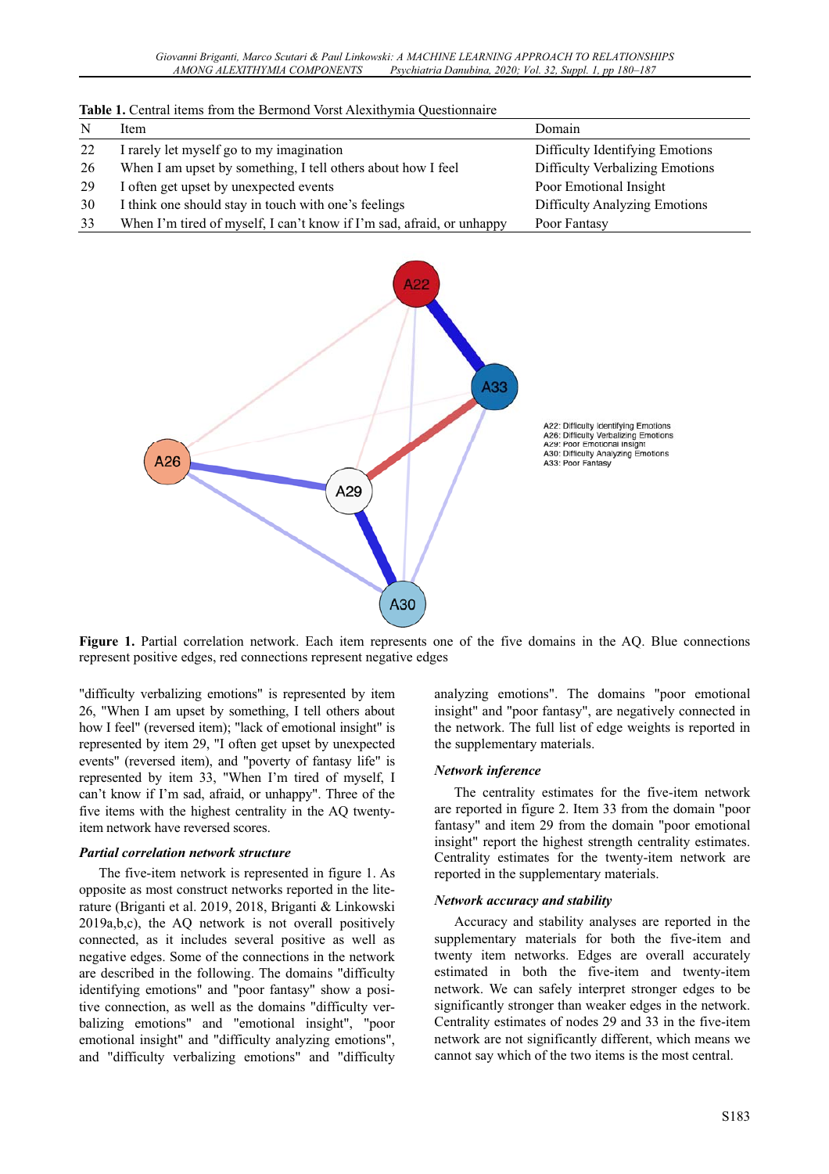|    | <b>Table 1.</b> Central flems from the Bermond vorst Alexithymia Questionnaire |                                      |
|----|--------------------------------------------------------------------------------|--------------------------------------|
| N  | Item                                                                           | Domain                               |
| 22 | I rarely let myself go to my imagination                                       | Difficulty Identifying Emotions      |
| 26 | When I am upset by something, I tell others about how I feel                   | Difficulty Verbalizing Emotions      |
| 29 | I often get upset by unexpected events                                         | Poor Emotional Insight               |
| 30 | I think one should stay in touch with one's feelings                           | <b>Difficulty Analyzing Emotions</b> |
| 33 | When I'm tired of myself, I can't know if I'm sad, afraid, or unhappy          | Poor Fantasy                         |

**Table 1.** Central items from the Bermond Vorst Alexithymia Questionnaire



**Figure 1.** Partial correlation network. Each item represents one of the five domains in the AQ. Blue connections represent positive edges, red connections represent negative edges

"difficulty verbalizing emotions" is represented by item 26, "When I am upset by something, I tell others about how I feel" (reversed item); "lack of emotional insight" is represented by item 29, "I often get upset by unexpected events" (reversed item), and "poverty of fantasy life" is represented by item 33, "When I'm tired of myself, I can't know if I'm sad, afraid, or unhappy". Three of the five items with the highest centrality in the AQ twentyitem network have reversed scores.

#### *Partial correlation network structure*

The five-item network is represented in figure 1. As opposite as most construct networks reported in the literature (Briganti et al. 2019, 2018, Briganti & Linkowski 2019a,b,c), the AQ network is not overall positively connected, as it includes several positive as well as negative edges. Some of the connections in the network are described in the following. The domains "difficulty identifying emotions" and "poor fantasy" show a positive connection, as well as the domains "difficulty verbalizing emotions" and "emotional insight", "poor emotional insight" and "difficulty analyzing emotions", and "difficulty verbalizing emotions" and "difficulty

analyzing emotions". The domains "poor emotional insight" and "poor fantasy", are negatively connected in the network. The full list of edge weights is reported in the supplementary materials.

#### *Network inference*

The centrality estimates for the five-item network are reported in figure 2. Item 33 from the domain "poor fantasy" and item 29 from the domain "poor emotional insight" report the highest strength centrality estimates. Centrality estimates for the twenty-item network are reported in the supplementary materials.

#### *Network accuracy and stability*

Accuracy and stability analyses are reported in the supplementary materials for both the five-item and twenty item networks. Edges are overall accurately estimated in both the five-item and twenty-item network. We can safely interpret stronger edges to be significantly stronger than weaker edges in the network. Centrality estimates of nodes 29 and 33 in the five-item network are not significantly different, which means we cannot say which of the two items is the most central.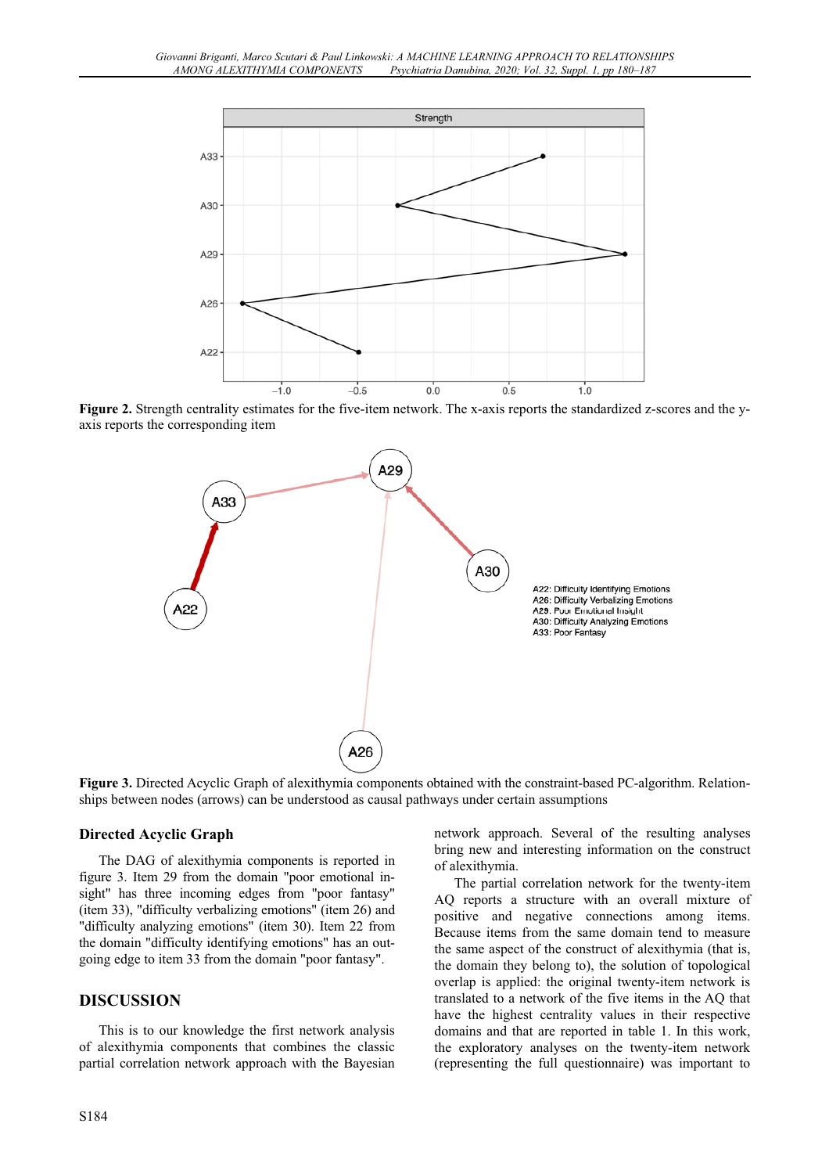

**Figure 2.** Strength centrality estimates for the five-item network. The x-axis reports the standardized z-scores and the yaxis reports the corresponding item



**Figure 3.** Directed Acyclic Graph of alexithymia components obtained with the constraint-based PC-algorithm. Relationships between nodes (arrows) can be understood as causal pathways under certain assumptions

#### **Directed Acyclic Graph**

The DAG of alexithymia components is reported in figure 3. Item 29 from the domain "poor emotional insight" has three incoming edges from "poor fantasy" (item 33), "difficulty verbalizing emotions" (item 26) and "difficulty analyzing emotions" (item 30). Item 22 from the domain "difficulty identifying emotions" has an outgoing edge to item 33 from the domain "poor fantasy".

### **DISCUSSION**

This is to our knowledge the first network analysis of alexithymia components that combines the classic partial correlation network approach with the Bayesian network approach. Several of the resulting analyses bring new and interesting information on the construct of alexithymia.

The partial correlation network for the twenty-item AQ reports a structure with an overall mixture of positive and negative connections among items. Because items from the same domain tend to measure the same aspect of the construct of alexithymia (that is, the domain they belong to), the solution of topological overlap is applied: the original twenty-item network is translated to a network of the five items in the AQ that have the highest centrality values in their respective domains and that are reported in table 1. In this work, the exploratory analyses on the twenty-item network (representing the full questionnaire) was important to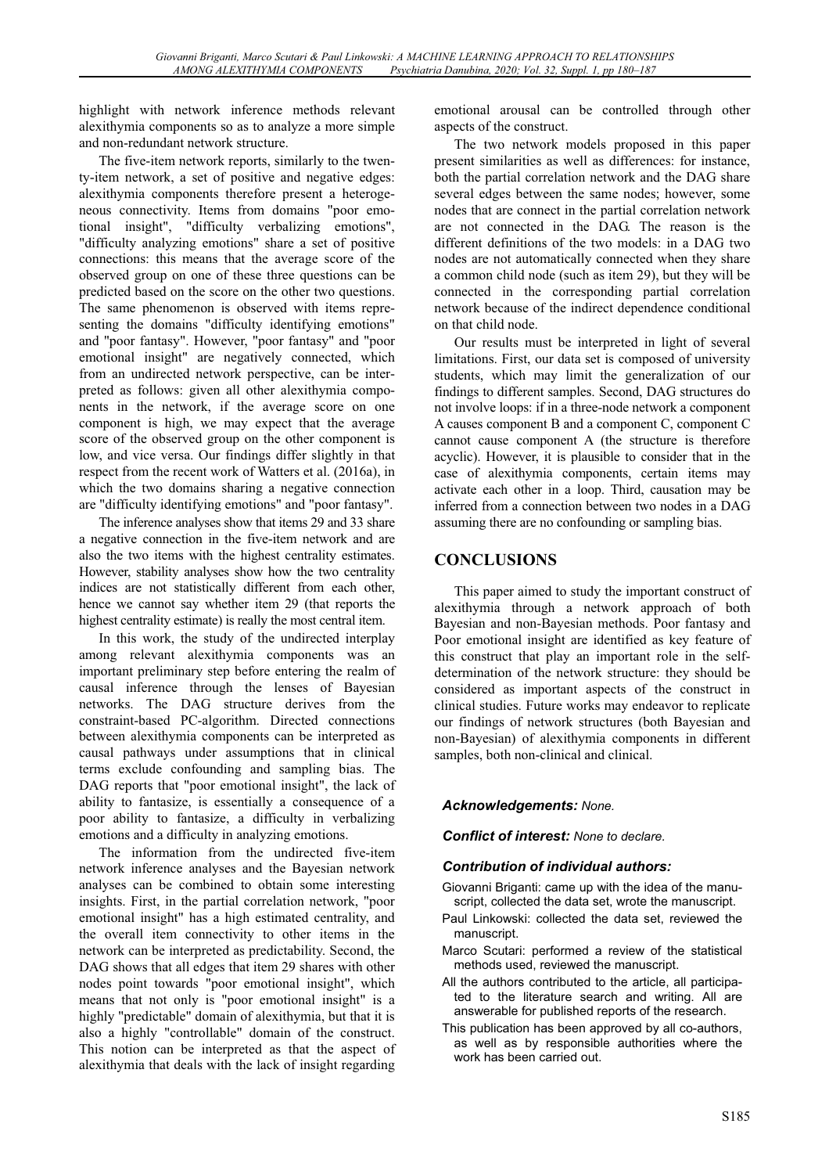highlight with network inference methods relevant alexithymia components so as to analyze a more simple and non-redundant network structure.

The five-item network reports, similarly to the twenty-item network, a set of positive and negative edges: alexithymia components therefore present a heterogeneous connectivity. Items from domains "poor emotional insight", "difficulty verbalizing emotions", "difficulty analyzing emotions" share a set of positive connections: this means that the average score of the observed group on one of these three questions can be predicted based on the score on the other two questions. The same phenomenon is observed with items representing the domains "difficulty identifying emotions" and "poor fantasy". However, "poor fantasy" and "poor emotional insight" are negatively connected, which from an undirected network perspective, can be interpreted as follows: given all other alexithymia components in the network, if the average score on one component is high, we may expect that the average score of the observed group on the other component is low, and vice versa. Our findings differ slightly in that respect from the recent work of Watters et al. (2016a), in which the two domains sharing a negative connection are "difficulty identifying emotions" and "poor fantasy".

The inference analyses show that items 29 and 33 share a negative connection in the five-item network and are also the two items with the highest centrality estimates. However, stability analyses show how the two centrality indices are not statistically different from each other, hence we cannot say whether item 29 (that reports the highest centrality estimate) is really the most central item.

In this work, the study of the undirected interplay among relevant alexithymia components was an important preliminary step before entering the realm of causal inference through the lenses of Bayesian networks. The DAG structure derives from the constraint-based PC-algorithm. Directed connections between alexithymia components can be interpreted as causal pathways under assumptions that in clinical terms exclude confounding and sampling bias. The DAG reports that "poor emotional insight", the lack of ability to fantasize, is essentially a consequence of a poor ability to fantasize, a difficulty in verbalizing emotions and a difficulty in analyzing emotions.

The information from the undirected five-item network inference analyses and the Bayesian network analyses can be combined to obtain some interesting insights. First, in the partial correlation network, "poor emotional insight" has a high estimated centrality, and the overall item connectivity to other items in the network can be interpreted as predictability. Second, the DAG shows that all edges that item 29 shares with other nodes point towards "poor emotional insight", which means that not only is "poor emotional insight" is a highly "predictable" domain of alexithymia, but that it is also a highly "controllable" domain of the construct. This notion can be interpreted as that the aspect of alexithymia that deals with the lack of insight regarding

emotional arousal can be controlled through other aspects of the construct.

The two network models proposed in this paper present similarities as well as differences: for instance, both the partial correlation network and the DAG share several edges between the same nodes; however, some nodes that are connect in the partial correlation network are not connected in the DAG. The reason is the different definitions of the two models: in a DAG two nodes are not automatically connected when they share a common child node (such as item 29), but they will be connected in the corresponding partial correlation network because of the indirect dependence conditional on that child node.

Our results must be interpreted in light of several limitations. First, our data set is composed of university students, which may limit the generalization of our findings to different samples. Second, DAG structures do not involve loops: if in a three-node network a component A causes component B and a component C, component C cannot cause component A (the structure is therefore acyclic). However, it is plausible to consider that in the case of alexithymia components, certain items may activate each other in a loop. Third, causation may be inferred from a connection between two nodes in a DAG assuming there are no confounding or sampling bias.

# **CONCLUSIONS**

This paper aimed to study the important construct of alexithymia through a network approach of both Bayesian and non-Bayesian methods. Poor fantasy and Poor emotional insight are identified as key feature of this construct that play an important role in the selfdetermination of the network structure: they should be considered as important aspects of the construct in clinical studies. Future works may endeavor to replicate our findings of network structures (both Bayesian and non-Bayesian) of alexithymia components in different samples, both non-clinical and clinical.

### *Acknowledgements: None.*

*Conflict of interest: None to declare.*

### *Contribution of individual authors:*

- Giovanni Briganti: came up with the idea of the manuscript, collected the data set, wrote the manuscript.
- Paul Linkowski: collected the data set, reviewed the manuscript.
- Marco Scutari: performed a review of the statistical methods used, reviewed the manuscript.
- All the authors contributed to the article, all participated to the literature search and writing. All are answerable for published reports of the research.
- This publication has been approved by all co-authors, as well as by responsible authorities where the work has been carried out.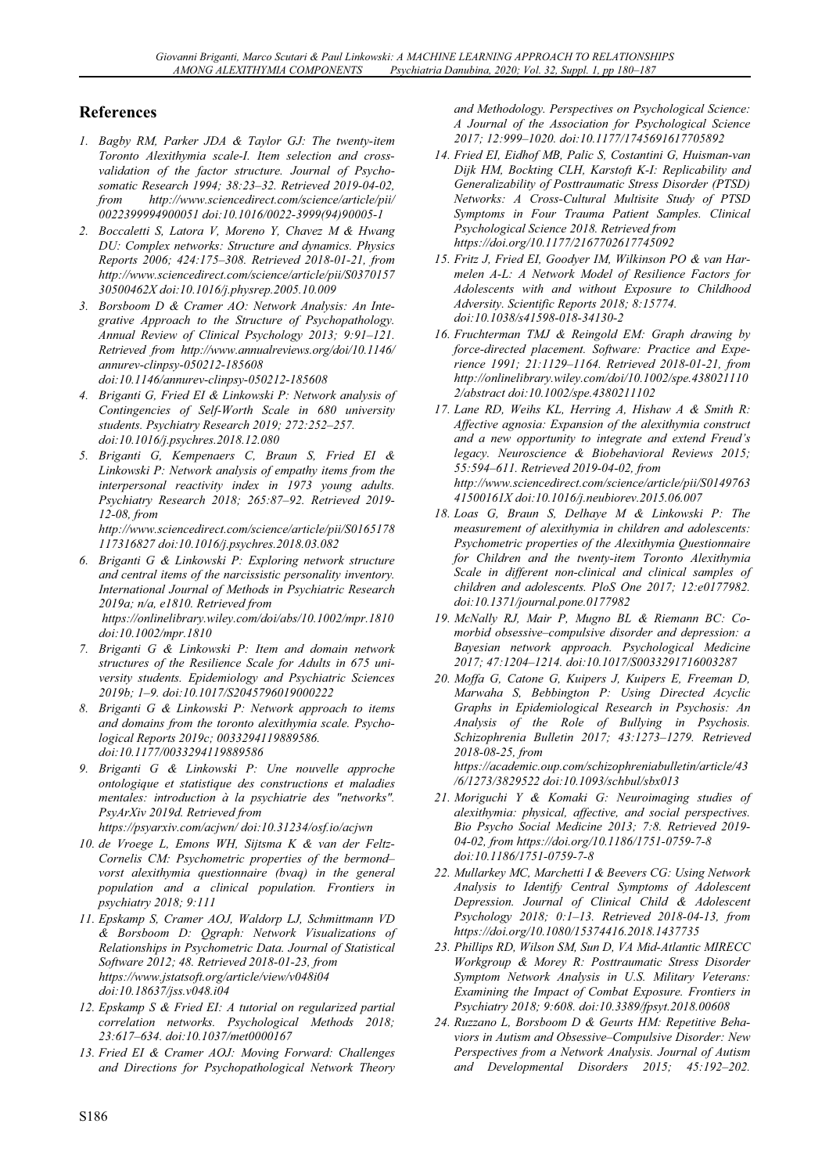# **References**

- *1. Bagby RM, Parker JDA & Taylor GJ: The twenty-item Toronto Alexithymia scale-I. Item selection and crossvalidation of the factor structure. Journal of Psychosomatic Research 1994; 38:23–32. Retrieved 2019-04-02, from http://www.sciencedirect.com/science/article/pii/ 0022399994900051 doi:10.1016/0022-3999(94)90005-1*
- *2. Boccaletti S, Latora V, Moreno Y, Chavez M & Hwang DU: Complex networks: Structure and dynamics. Physics Reports 2006; 424:175–308. Retrieved 2018-01-21, from http://www.sciencedirect.com/science/article/pii/S0370157 30500462X doi:10.1016/j.physrep.2005.10.009*
- *3. Borsboom D & Cramer AO: Network Analysis: An Integrative Approach to the Structure of Psychopathology. Annual Review of Clinical Psychology 2013; 9:91–121. Retrieved from http://www.annualreviews.org/doi/10.1146/ annurev-clinpsy-050212-185608 doi:10.1146/annurev-clinpsy-050212-185608*
- *4. Briganti G, Fried EI & Linkowski P: Network analysis of Contingencies of Self-Worth Scale in 680 university students. Psychiatry Research 2019; 272:252–257. doi:10.1016/j.psychres.2018.12.080*
- *5. Briganti G, Kempenaers C, Braun S, Fried EI & Linkowski P: Network analysis of empathy items from the interpersonal reactivity index in 1973 young adults. Psychiatry Research 2018; 265:87–92. Retrieved 2019- 12-08, from*

*http://www.sciencedirect.com/science/article/pii/S0165178 117316827 doi:10.1016/j.psychres.2018.03.082* 

- *6. Briganti G & Linkowski P: Exploring network structure and central items of the narcissistic personality inventory. International Journal of Methods in Psychiatric Research 2019a; n/a, e1810. Retrieved from https://onlinelibrary.wiley.com/doi/abs/10.1002/mpr.1810 doi:10.1002/mpr.1810*
- *7. Briganti G & Linkowski P: Item and domain network structures of the Resilience Scale for Adults in 675 university students. Epidemiology and Psychiatric Sciences 2019b; 1–9. doi:10.1017/S2045796019000222*
- *8. Briganti G & Linkowski P: Network approach to items and domains from the toronto alexithymia scale. Psychological Reports 2019c; 0033294119889586. doi:10.1177/0033294119889586*
- *9. Briganti G & Linkowski P: Une nouvelle approche ontologique et statistique des constructions et maladies mentales: introduction à la psychiatrie des "networks". PsyArXiv 2019d. Retrieved from*
- *https://psyarxiv.com/acjwn/ doi:10.31234/osf.io/acjwn 10. de Vroege L, Emons WH, Sijtsma K & van der Feltz-Cornelis CM: Psychometric properties of the bermond– vorst alexithymia questionnaire (bvaq) in the general population and a clinical population. Frontiers in*
- *psychiatry 2018; 9:111 11. Epskamp S, Cramer AOJ, Waldorp LJ, Schmittmann VD & Borsboom D: Qgraph: Network Visualizations of Relationships in Psychometric Data. Journal of Statistical Software 2012; 48. Retrieved 2018-01-23, from https://www.jstatsoft.org/article/view/v048i04 doi:10.18637/jss.v048.i04*
- *12. Epskamp S & Fried EI: A tutorial on regularized partial correlation networks. Psychological Methods 2018; 23:617–634. doi:10.1037/met0000167*
- *13. Fried EI & Cramer AOJ: Moving Forward: Challenges and Directions for Psychopathological Network Theory*

*and Methodology. Perspectives on Psychological Science: A Journal of the Association for Psychological Science 2017; 12:999–1020. doi:10.1177/1745691617705892* 

- *14. Fried EI, Eidhof MB, Palic S, Costantini G, Huisman-van Dijk HM, Bockting CLH, Karstoft K-I: Replicability and Generalizability of Posttraumatic Stress Disorder (PTSD) Networks: A Cross-Cultural Multisite Study of PTSD Symptoms in Four Trauma Patient Samples. Clinical Psychological Science 2018. Retrieved from https://doi.org/10.1177/2167702617745092*
- *15. Fritz J, Fried EI, Goodyer IM, Wilkinson PO & van Harmelen A-L: A Network Model of Resilience Factors for Adolescents with and without Exposure to Childhood Adversity. Scientific Reports 2018; 8:15774. doi:10.1038/s41598-018-34130-2*
- *16. Fruchterman TMJ & Reingold EM: Graph drawing by force-directed placement. Software: Practice and Experience 1991; 21:1129–1164. Retrieved 2018-01-21, from http://onlinelibrary.wiley.com/doi/10.1002/spe.438021110 2/abstract doi:10.1002/spe.4380211102*
- *17. Lane RD, Weihs KL, Herring A, Hishaw A & Smith R: Affective agnosia: Expansion of the alexithymia construct and a new opportunity to integrate and extend Freud's legacy. Neuroscience & Biobehavioral Reviews 2015; 55:594–611. Retrieved 2019-04-02, from http://www.sciencedirect.com/science/article/pii/S0149763 41500161X doi:10.1016/j.neubiorev.2015.06.007*
- *18. Loas G, Braun S, Delhaye M & Linkowski P: The measurement of alexithymia in children and adolescents: Psychometric properties of the Alexithymia Questionnaire for Children and the twenty-item Toronto Alexithymia Scale in different non-clinical and clinical samples of children and adolescents. PloS One 2017; 12:e0177982. doi:10.1371/journal.pone.0177982*
- *19. McNally RJ, Mair P, Mugno BL & Riemann BC: Comorbid obsessive–compulsive disorder and depression: a Bayesian network approach. Psychological Medicine 2017; 47:1204–1214. doi:10.1017/S0033291716003287*
- *20. Moffa G, Catone G, Kuipers J, Kuipers E, Freeman D, Marwaha S, Bebbington P: Using Directed Acyclic Graphs in Epidemiological Research in Psychosis: An Analysis of the Role of Bullying in Psychosis. Schizophrenia Bulletin 2017; 43:1273–1279. Retrieved 2018-08-25, from https://academic.oup.com/schizophreniabulletin/article/43*

*/6/1273/3829522 doi:10.1093/schbul/sbx013* 

- *21. Moriguchi Y & Komaki G: Neuroimaging studies of alexithymia: physical, affective, and social perspectives. Bio Psycho Social Medicine 2013; 7:8. Retrieved 2019- 04-02, from https://doi.org/10.1186/1751-0759-7-8 doi:10.1186/1751-0759-7-8*
- *22. Mullarkey MC, Marchetti I & Beevers CG: Using Network Analysis to Identify Central Symptoms of Adolescent Depression. Journal of Clinical Child & Adolescent Psychology 2018; 0:1–13. Retrieved 2018-04-13, from https://doi.org/10.1080/15374416.2018.1437735*
- *23. Phillips RD, Wilson SM, Sun D, VA Mid-Atlantic MIRECC Workgroup & Morey R: Posttraumatic Stress Disorder Symptom Network Analysis in U.S. Military Veterans: Examining the Impact of Combat Exposure. Frontiers in Psychiatry 2018; 9:608. doi:10.3389/fpsyt.2018.00608*
- *24. Ruzzano L, Borsboom D & Geurts HM: Repetitive Behaviors in Autism and Obsessive–Compulsive Disorder: New Perspectives from a Network Analysis. Journal of Autism and Developmental Disorders 2015; 45:192–202.*